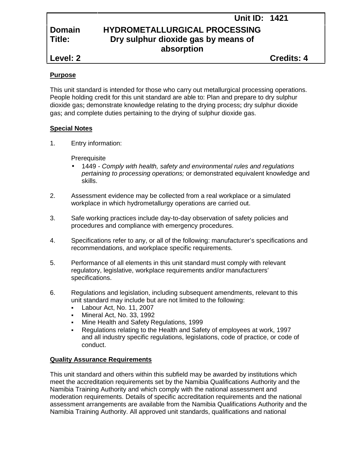# **Unit ID: 1421 Domain HYDROMETALLURGICAL PROCESSING Title: Dry sulphur dioxide gas by means of absorption**

### **Purpose**

This unit standard is intended for those who carry out metallurgical processing operations. People holding credit for this unit standard are able to: Plan and prepare to dry sulphur dioxide gas; demonstrate knowledge relating to the drying process; dry sulphur dioxide gas; and complete duties pertaining to the drying of sulphur dioxide gas.

## **Special Notes**

1. Entry information:

**Prerequisite** 

- 1449 *- Comply with health, safety and environmental rules and regulations pertaining to processing operations;* or demonstrated equivalent knowledge and skills.
- 2. Assessment evidence may be collected from a real workplace or a simulated workplace in which hydrometallurgy operations are carried out.
- 3. Safe working practices include day-to-day observation of safety policies and procedures and compliance with emergency procedures.
- 4. Specifications refer to any, or all of the following: manufacturer's specifications and recommendations, and workplace specific requirements.
- 5. Performance of all elements in this unit standard must comply with relevant regulatory, legislative, workplace requirements and/or manufacturers' specifications.
- 6. Regulations and legislation, including subsequent amendments, relevant to this unit standard may include but are not limited to the following:
	- Labour Act, No. 11, 2007
	- Mineral Act, No. 33, 1992
	- Mine Health and Safety Regulations, 1999
	- Regulations relating to the Health and Safety of employees at work, 1997 and all industry specific regulations, legislations, code of practice, or code of conduct.

## **Quality Assurance Requirements**

This unit standard and others within this subfield may be awarded by institutions which meet the accreditation requirements set by the Namibia Qualifications Authority and the Namibia Training Authority and which comply with the national assessment and moderation requirements. Details of specific accreditation requirements and the national assessment arrangements are available from the Namibia Qualifications Authority and the Namibia Training Authority. All approved unit standards, qualifications and national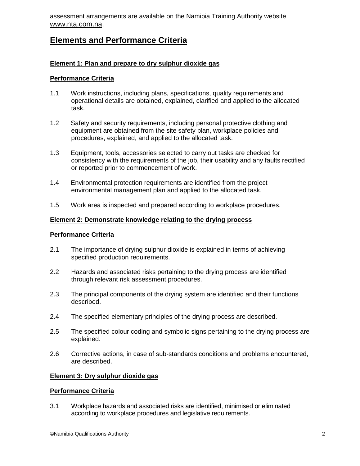assessment arrangements are available on the Namibia Training Authority website www.nta.com.na.

# **Elements and Performance Criteria**

## **Element 1: Plan and prepare to dry sulphur dioxide gas**

#### **Performance Criteria**

- 1.1 Work instructions, including plans, specifications, quality requirements and operational details are obtained, explained, clarified and applied to the allocated task.
- 1.2 Safety and security requirements, including personal protective clothing and equipment are obtained from the site safety plan, workplace policies and procedures, explained, and applied to the allocated task.
- 1.3 Equipment, tools, accessories selected to carry out tasks are checked for consistency with the requirements of the job, their usability and any faults rectified or reported prior to commencement of work.
- 1.4 Environmental protection requirements are identified from the project environmental management plan and applied to the allocated task.
- 1.5 Work area is inspected and prepared according to workplace procedures.

#### **Element 2: Demonstrate knowledge relating to the drying process**

#### **Performance Criteria**

- 2.1 The importance of drying sulphur dioxide is explained in terms of achieving specified production requirements.
- 2.2 Hazards and associated risks pertaining to the drying process are identified through relevant risk assessment procedures.
- 2.3 The principal components of the drying system are identified and their functions described.
- 2.4 The specified elementary principles of the drying process are described.
- 2.5 The specified colour coding and symbolic signs pertaining to the drying process are explained.
- 2.6 Corrective actions, in case of sub-standards conditions and problems encountered, are described.

#### **Element 3: Dry sulphur dioxide gas**

#### **Performance Criteria**

3.1 Workplace hazards and associated risks are identified, minimised or eliminated according to workplace procedures and legislative requirements.